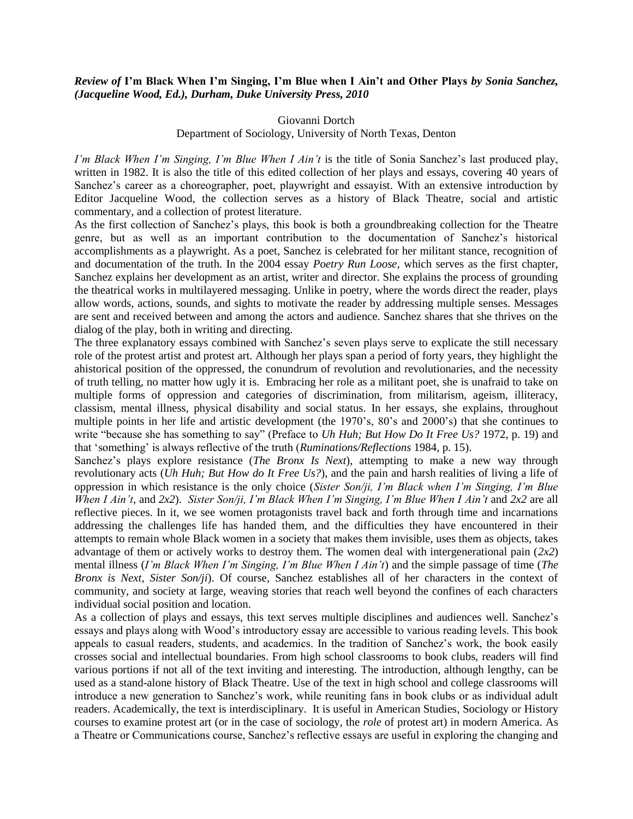## *Review of* **I'm Black When I'm Singing, I'm Blue when I Ain't and Other Plays** *by Sonia Sanchez, (Jacqueline Wood, Ed.), Durham, Duke University Press, 2010*

## Giovanni Dortch

Department of Sociology, University of North Texas, Denton

*I'm Black When I'm Singing, I'm Blue When I Ain't* is the title of Sonia Sanchez's last produced play, written in 1982. It is also the title of this edited collection of her plays and essays, covering 40 years of Sanchez's career as a choreographer, poet, playwright and essayist. With an extensive introduction by Editor Jacqueline Wood, the collection serves as a history of Black Theatre, social and artistic commentary, and a collection of protest literature.

As the first collection of Sanchez's plays, this book is both a groundbreaking collection for the Theatre genre, but as well as an important contribution to the documentation of Sanchez's historical accomplishments as a playwright. As a poet, Sanchez is celebrated for her militant stance, recognition of and documentation of the truth. In the 2004 essay *Poetry Run Loose*, which serves as the first chapter, Sanchez explains her development as an artist, writer and director. She explains the process of grounding the theatrical works in multilayered messaging. Unlike in poetry, where the words direct the reader, plays allow words, actions, sounds, and sights to motivate the reader by addressing multiple senses. Messages are sent and received between and among the actors and audience. Sanchez shares that she thrives on the dialog of the play, both in writing and directing.

The three explanatory essays combined with Sanchez's seven plays serve to explicate the still necessary role of the protest artist and protest art. Although her plays span a period of forty years, they highlight the ahistorical position of the oppressed, the conundrum of revolution and revolutionaries, and the necessity of truth telling, no matter how ugly it is. Embracing her role as a militant poet, she is unafraid to take on multiple forms of oppression and categories of discrimination, from militarism, ageism, illiteracy, classism, mental illness, physical disability and social status. In her essays, she explains, throughout multiple points in her life and artistic development (the 1970's, 80's and 2000's) that she continues to write "because she has something to say" (Preface to *Uh Huh; But How Do It Free Us?* 1972, p. 19) and that 'something' is always reflective of the truth (*Ruminations/Reflections* 1984, p. 15).

Sanchez's plays explore resistance (*The Bronx Is Next*), attempting to make a new way through revolutionary acts (*Uh Huh; But How do It Free Us?*), and the pain and harsh realities of living a life of oppression in which resistance is the only choice (*Sister Son/ji, I'm Black when I'm Singing, I'm Blue When I Ain't*, and *2x2*). *Sister Son/ji, I'm Black When I'm Singing, I'm Blue When I Ain't* and *2x2* are all reflective pieces. In it, we see women protagonists travel back and forth through time and incarnations addressing the challenges life has handed them, and the difficulties they have encountered in their attempts to remain whole Black women in a society that makes them invisible, uses them as objects, takes advantage of them or actively works to destroy them. The women deal with intergenerational pain (*2x2*) mental illness (*I'm Black When I'm Singing, I'm Blue When I Ain't*) and the simple passage of time (*The Bronx is Next*, *Sister Son/ji*). Of course, Sanchez establishes all of her characters in the context of community, and society at large, weaving stories that reach well beyond the confines of each characters individual social position and location.

As a collection of plays and essays, this text serves multiple disciplines and audiences well. Sanchez's essays and plays along with Wood's introductory essay are accessible to various reading levels. This book appeals to casual readers, students, and academics. In the tradition of Sanchez's work, the book easily crosses social and intellectual boundaries. From high school classrooms to book clubs, readers will find various portions if not all of the text inviting and interesting. The introduction, although lengthy, can be used as a stand-alone history of Black Theatre. Use of the text in high school and college classrooms will introduce a new generation to Sanchez's work, while reuniting fans in book clubs or as individual adult readers. Academically, the text is interdisciplinary. It is useful in American Studies, Sociology or History courses to examine protest art (or in the case of sociology, the *role* of protest art) in modern America. As a Theatre or Communications course, Sanchez's reflective essays are useful in exploring the changing and